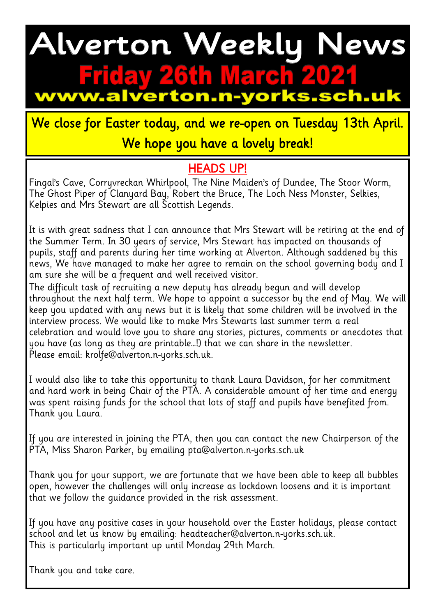## Alverton Weekly News iday 26th March 20 w.alverton.n-yorks.sch.uk

We close for Easter today, and we re-open on Tuesday 13th April. We hope you have a lovely break!

#### HEADS UP!

Fingal's Cave, Corryvreckan Whirlpool, The Nine Maiden's of Dundee, The Stoor Worm, The Ghost Piper of Clanyard Bay, Robert the Bruce, The Loch Ness Monster, Selkies, Kelpies and Mrs Stewart are all Scottish Legends.

It is with great sadness that I can announce that Mrs Stewart will be retiring at the end of the Summer Term. In 30 years of service, Mrs Stewart has impacted on thousands of pupils, staff and parents during her time working at Alverton. Although saddened by this news, We have managed to make her agree to remain on the school governing body and I am sure she will be a frequent and well received visitor.

The difficult task of recruiting a new deputy has already begun and will develop throughout the next half term. We hope to appoint a successor by the end of May. We will keep you updated with any news but it is likely that some children will be involved in the interview process. We would like to make Mrs Stewarts last summer term a real celebration and would love you to share any stories, pictures, comments or anecdotes that you have (as long as they are printable…!) that we can share in the newsletter. Please email: krolfe@alverton.n-yorks.sch.uk.

I would also like to take this opportunity to thank Laura Davidson, for her commitment and hard work in being Chair of the PTA. A considerable amount of her time and energy was spent raising funds for the school that lots of staff and pupils have benefited from. Thank you Laura.

If you are interested in joining the PTA, then you can contact the new Chairperson of the PTA, Miss Sharon Parker, by emailing pta@alverton.n-yorks.sch.uk

Thank you for your support, we are fortunate that we have been able to keep all bubbles open, however the challenges will only increase as lockdown loosens and it is important that we follow the guidance provided in the risk assessment.

If you have any positive cases in your household over the Easter holidays, please contact school and let us know by emailing: headteacher@alverton.n-yorks.sch.uk. This is particularly important up until Monday 29th March.

Thank you and take care.